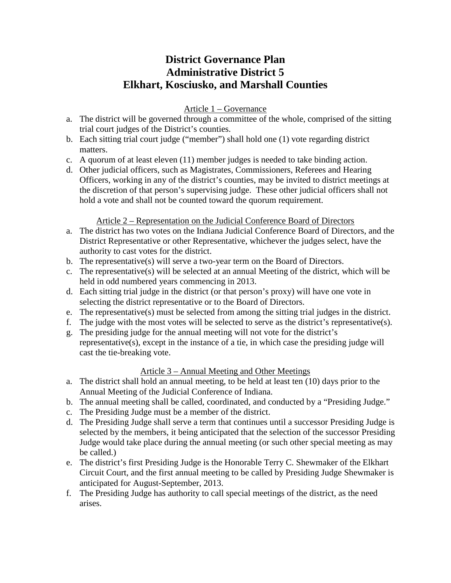# **District Governance Plan Administrative District 5 Elkhart, Kosciusko, and Marshall Counties**

# Article 1 – Governance

- a. The district will be governed through a committee of the whole, comprised of the sitting trial court judges of the District's counties.
- b. Each sitting trial court judge ("member") shall hold one (1) vote regarding district matters.
- c. A quorum of at least eleven (11) member judges is needed to take binding action.
- d. Other judicial officers, such as Magistrates, Commissioners, Referees and Hearing Officers, working in any of the district's counties, may be invited to district meetings at the discretion of that person's supervising judge. These other judicial officers shall not hold a vote and shall not be counted toward the quorum requirement.

## Article 2 – Representation on the Judicial Conference Board of Directors

- a. The district has two votes on the Indiana Judicial Conference Board of Directors, and the District Representative or other Representative, whichever the judges select, have the authority to cast votes for the district.
- b. The representative(s) will serve a two-year term on the Board of Directors.
- c. The representative(s) will be selected at an annual Meeting of the district, which will be held in odd numbered years commencing in 2013.
- d. Each sitting trial judge in the district (or that person's proxy) will have one vote in selecting the district representative or to the Board of Directors.
- e. The representative(s) must be selected from among the sitting trial judges in the district.
- f. The judge with the most votes will be selected to serve as the district's representative(s).
- g. The presiding judge for the annual meeting will not vote for the district's representative(s), except in the instance of a tie, in which case the presiding judge will cast the tie-breaking vote.

## Article 3 – Annual Meeting and Other Meetings

- a. The district shall hold an annual meeting, to be held at least ten (10) days prior to the Annual Meeting of the Judicial Conference of Indiana.
- b. The annual meeting shall be called, coordinated, and conducted by a "Presiding Judge."
- c. The Presiding Judge must be a member of the district.
- d. The Presiding Judge shall serve a term that continues until a successor Presiding Judge is selected by the members, it being anticipated that the selection of the successor Presiding Judge would take place during the annual meeting (or such other special meeting as may be called.)
- e. The district's first Presiding Judge is the Honorable Terry C. Shewmaker of the Elkhart Circuit Court, and the first annual meeting to be called by Presiding Judge Shewmaker is anticipated for August-September, 2013.
- f. The Presiding Judge has authority to call special meetings of the district, as the need arises.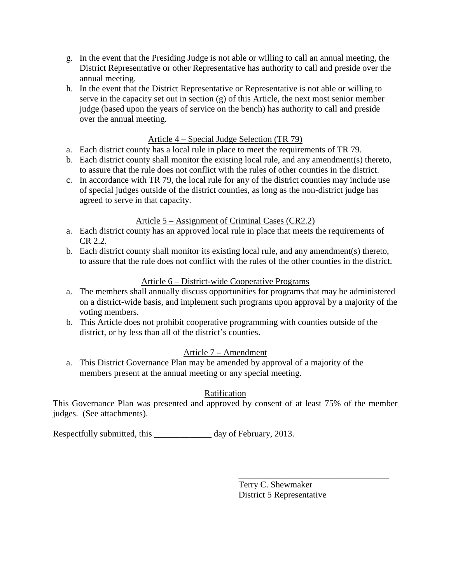- g. In the event that the Presiding Judge is not able or willing to call an annual meeting, the District Representative or other Representative has authority to call and preside over the annual meeting.
- h. In the event that the District Representative or Representative is not able or willing to serve in the capacity set out in section (g) of this Article, the next most senior member judge (based upon the years of service on the bench) has authority to call and preside over the annual meeting.

## Article 4 – Special Judge Selection (TR 79)

- a. Each district county has a local rule in place to meet the requirements of TR 79.
- b. Each district county shall monitor the existing local rule, and any amendment(s) thereto, to assure that the rule does not conflict with the rules of other counties in the district.
- c. In accordance with TR 79, the local rule for any of the district counties may include use of special judges outside of the district counties, as long as the non-district judge has agreed to serve in that capacity.

### Article 5 – Assignment of Criminal Cases (CR2.2)

- a. Each district county has an approved local rule in place that meets the requirements of CR 2.2.
- b. Each district county shall monitor its existing local rule, and any amendment(s) thereto, to assure that the rule does not conflict with the rules of the other counties in the district.

### Article 6 – District-wide Cooperative Programs

- a. The members shall annually discuss opportunities for programs that may be administered on a district-wide basis, and implement such programs upon approval by a majority of the voting members.
- b. This Article does not prohibit cooperative programming with counties outside of the district, or by less than all of the district's counties.

## Article 7 – Amendment

a. This District Governance Plan may be amended by approval of a majority of the members present at the annual meeting or any special meeting.

## Ratification

This Governance Plan was presented and approved by consent of at least 75% of the member judges. (See attachments).

Respectfully submitted, this day of February, 2013.

Terry C. Shewmaker District 5 Representative

\_\_\_\_\_\_\_\_\_\_\_\_\_\_\_\_\_\_\_\_\_\_\_\_\_\_\_\_\_\_\_\_\_\_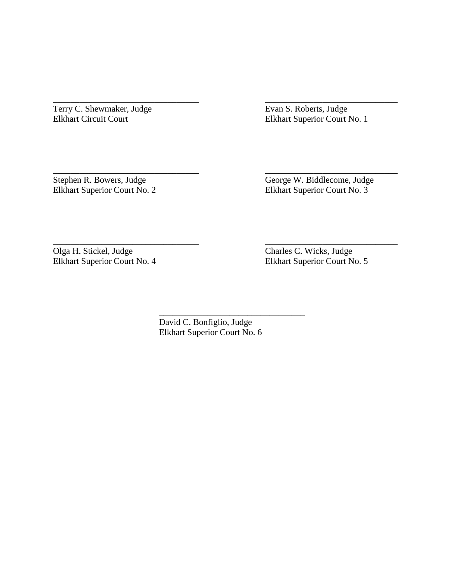Terry C. Shewmaker, Judge<br>
Elkhart Circuit Court<br>
Elkhart Superior Court N

Elkhart Superior Court No. 1

Elkhart Superior Court No. 2

Stephen R. Bowers, Judge George W. Biddlecome, Judge Elkhart Superior Court No. 2 Elkhart Superior Court No. 3

Olga H. Stickel, Judge<br>
Elkhart Superior Court No. 4<br>
Elkhart Superior Court No. 4<br>
Elkhart Superior Court No.

Elkhart Superior Court No. 5

David C. Bonfiglio, Judge Elkhart Superior Court No. 6

\_\_\_\_\_\_\_\_\_\_\_\_\_\_\_\_\_\_\_\_\_\_\_\_\_\_\_\_\_\_\_\_\_ \_\_\_\_\_\_\_\_\_\_\_\_\_\_\_\_\_\_\_\_\_\_\_\_\_\_\_\_\_\_

\_\_\_\_\_\_\_\_\_\_\_\_\_\_\_\_\_\_\_\_\_\_\_\_\_\_\_\_\_\_\_\_\_ \_\_\_\_\_\_\_\_\_\_\_\_\_\_\_\_\_\_\_\_\_\_\_\_\_\_\_\_\_\_

\_\_\_\_\_\_\_\_\_\_\_\_\_\_\_\_\_\_\_\_\_\_\_\_\_\_\_\_\_\_\_\_\_ \_\_\_\_\_\_\_\_\_\_\_\_\_\_\_\_\_\_\_\_\_\_\_\_\_\_\_\_\_\_

\_\_\_\_\_\_\_\_\_\_\_\_\_\_\_\_\_\_\_\_\_\_\_\_\_\_\_\_\_\_\_\_\_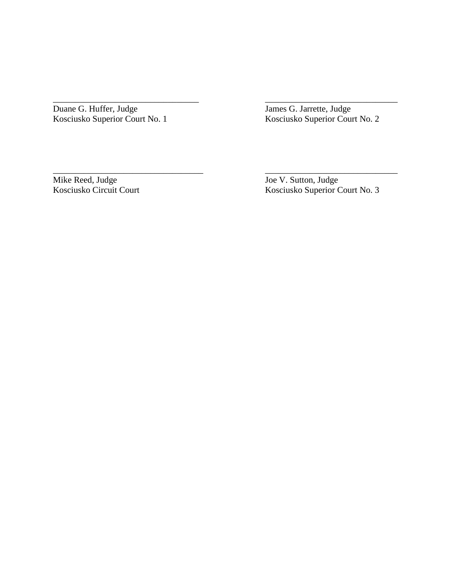Duane G. Huffer, Judge<br>Kosciusko Superior Court No. 1

Kosciusko Superior Court No. 1 Kosciusko Superior Court No. 2

\_\_\_\_\_\_\_\_\_\_\_\_\_\_\_\_\_\_\_\_\_\_\_\_\_\_\_\_\_\_\_\_\_ \_\_\_\_\_\_\_\_\_\_\_\_\_\_\_\_\_\_\_\_\_\_\_\_\_\_\_\_\_\_

\_\_\_\_\_\_\_\_\_\_\_\_\_\_\_\_\_\_\_\_\_\_\_\_\_\_\_\_\_\_\_\_\_\_ \_\_\_\_\_\_\_\_\_\_\_\_\_\_\_\_\_\_\_\_\_\_\_\_\_\_\_\_\_\_

Mike Reed, Judge<br>
Kosciusko Circuit Court<br>
Hosciusko Superior C

Kosciusko Superior Court No. 3